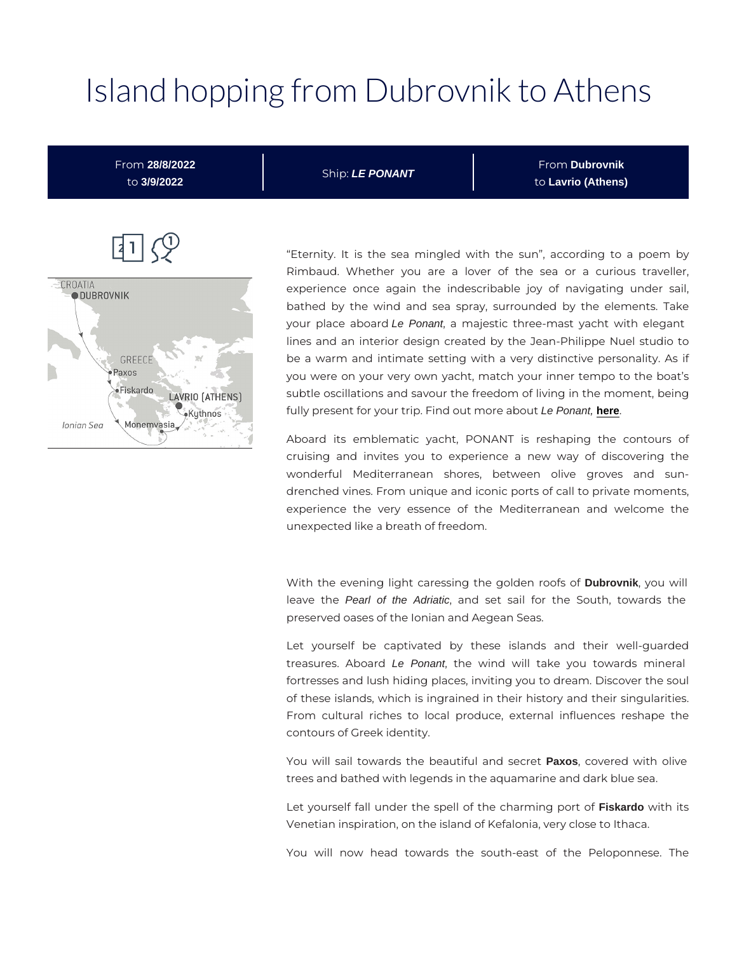# Island hopping from Dubrovn

 $\boxed{1}$ 

Eternity. It is the sea mingled with the sun, accor Rimbaud. Whether you are a lover of the sea or experience once again the indescribable joy of navi bathed by the wind and sea spray, surrounded by th your place abeoPeondnt, a majestic three-mast yacht with lines and an interior design created by the Jean-Philip be a warm and intimate setting with a very distinctive you were on your very own yacht, match your inner tem subtle oscillations and savour the freedom of living in th fully present for your trip. Find de Pomeont, [here](https://en.ponant.com/le-ponant) bout

Aboard its emblematic yacht, PONANT is reshaping cruising and invites you to experience a new way wonderful Mediterranean shores, between olive drenched vines. From unique and iconic ports of call to p experience the very essence of the Mediterranean a unexpected like a breath of freedom.

With the evening light caressing the Dglordvchikn, ryo outs woilf leave the ald the Adriatic, and set sail for the South, to preserved oases of the Ionian and Aegean Seas.

Let yourself be captivated by these islands and treasures. A be Prodant, the wind will take you towards fortresses and lush hiding places, inviting you to dream. of these islands, which is ingrained in their history and From cultural riches to local produce, external influe contours of Greek identity.

You will sail towards the beautPaxols anodovseernence twith olive trees and bathed with legends in the aquamarine and dark

Let yourself fall under the spell of the Fiskardaorm winigh piost o Venetian inspiration, on the island of Kefalonia, very clos

You will now head towards the south-east of the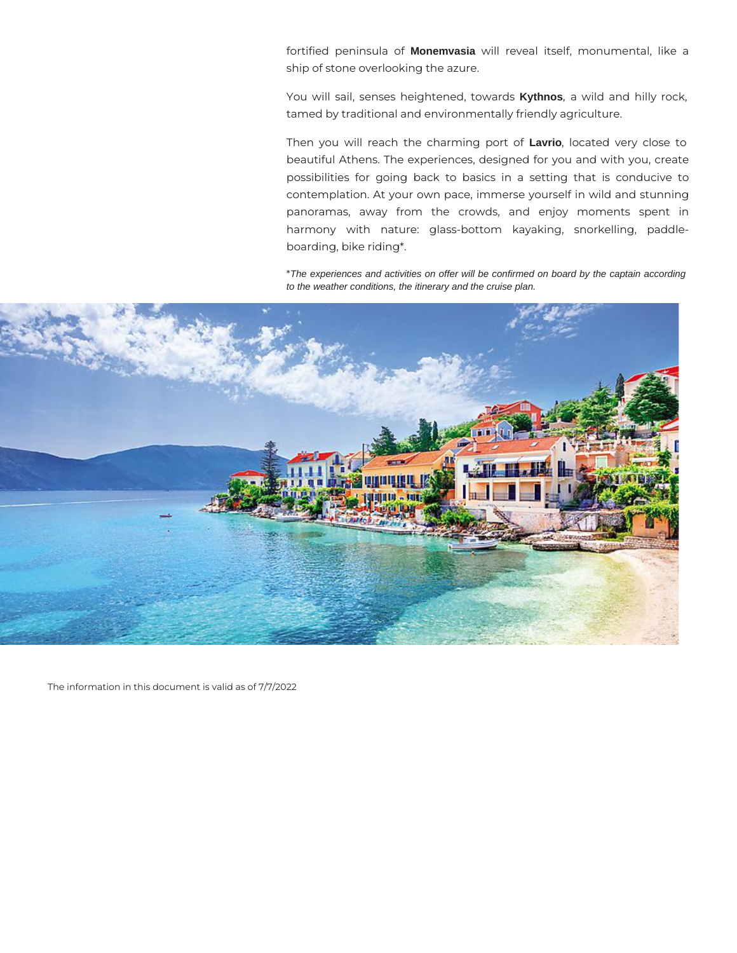fortified peninsula of **Monemvasia** will reveal itself, monumental, like a ship of stone overlooking the azure.

You will sail, senses heightened, towards **Kythnos**, a wild and hilly rock, tamed by traditional and environmentally friendly agriculture.

Then you will reach the charming port of **Lavrio**, located very close to beautiful Athens. The experiences, designed for you and with you, create possibilities for going back to basics in a setting that is conducive to contemplation. At your own pace, immerse yourself in wild and stunning panoramas, away from the crowds, and enjoy moments spent in harmony with nature: glass-bottom kayaking, snorkelling, paddleboarding, bike riding\*.

\*The experiences and activities on offer will be confirmed on board by the captain according to the weather conditions, the itinerary and the cruise plan.



The information in this document is valid as of 7/7/2022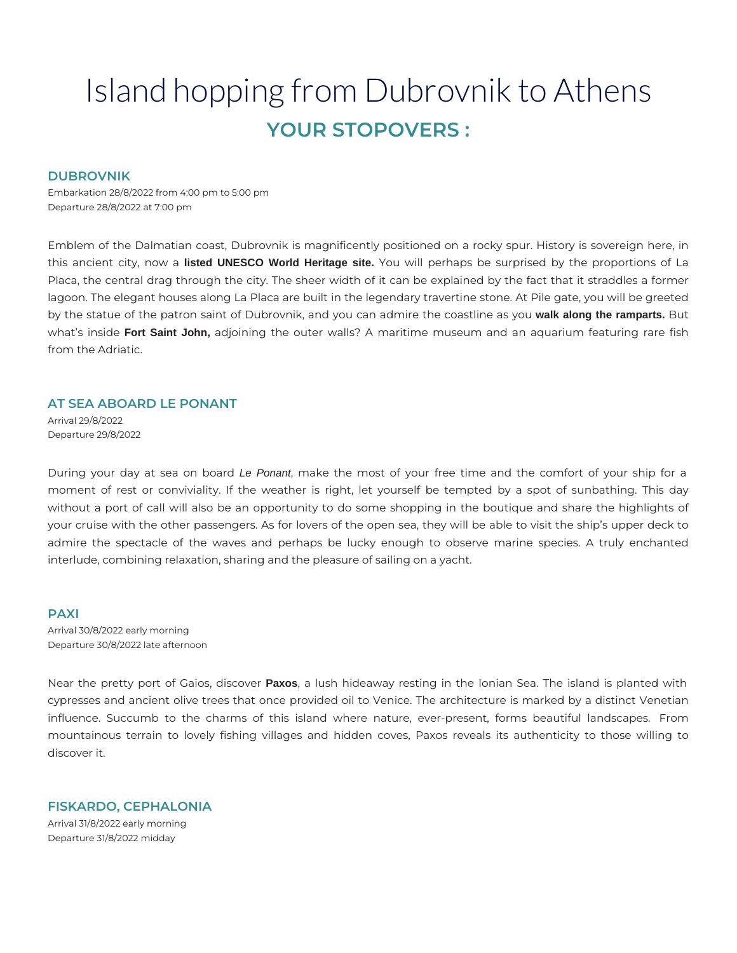## Island hopping from Dubrovnik to Athens **YOUR STOPOVERS :**

#### **DUBROVNIK**

Embarkation 28/8/2022 from 4:00 pm to 5:00 pm Departure 28/8/2022 at 7:00 pm

Emblem of the Dalmatian coast, Dubrovnik is magnificently positioned on a rocky spur. History is sovereign here, in this ancient city, now a **listed UNESCO World Heritage site.** You will perhaps be surprised by the proportions of La Placa, the central drag through the city. The sheer width of it can be explained by the fact that it straddles a former lagoon. The elegant houses along La Placa are built in the legendary travertine stone. At Pile gate, you will be greeted by the statue of the patron saint of Dubrovnik, and you can admire the coastline as you **walk along the ramparts.** But what's inside **Fort Saint John,** adjoining the outer walls? A maritime museum and an aquarium featuring rare fish from the Adriatic.

#### **AT SEA ABOARD LE PONANT**

Arrival 29/8/2022 Departure 29/8/2022

During your day at sea on board Le Ponant, make the most of your free time and the comfort of your ship for a moment of rest or conviviality. If the weather is right, let yourself be tempted by a spot of sunbathing. This day without a port of call will also be an opportunity to do some shopping in the boutique and share the highlights of your cruise with the other passengers. As for lovers of the open sea, they will be able to visit the ship's upper deck to admire the spectacle of the waves and perhaps be lucky enough to observe marine species. A truly enchanted interlude, combining relaxation, sharing and the pleasure of sailing on a yacht.

#### **PAXI**

Arrival 30/8/2022 early morning Departure 30/8/2022 late afternoon

Near the pretty port of Gaios, discover **Paxos**, a lush hideaway resting in the Ionian Sea. The island is planted with cypresses and ancient olive trees that once provided oil to Venice. The architecture is marked by a distinct Venetian influence. Succumb to the charms of this island where nature, ever-present, forms beautiful landscapes. From mountainous terrain to lovely fishing villages and hidden coves, Paxos reveals its authenticity to those willing to discover it.

### **FISKARDO, CEPHALONIA**

Arrival 31/8/2022 early morning Departure 31/8/2022 midday